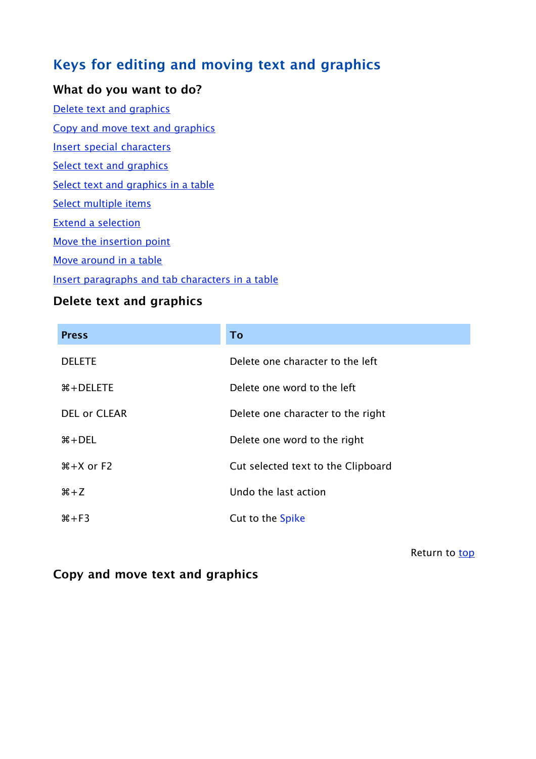# **Keys for editing and moving text and graphics**

#### **What do you want to do?**

Delete text and graphics

Copy and move text and graphics

Insert special characters

Select text and graphics

Select text and graphics in a table

Select multiple items

Extend a selection

Move the insertion point

Move around in a table

Insert paragraphs and tab characters in a table

### **Delete text and graphics**

| <b>Press</b>        | To                                 |
|---------------------|------------------------------------|
| <b>DELETE</b>       | Delete one character to the left   |
| $\#$ + DELETE       | Delete one word to the left        |
| <b>DEL or CLEAR</b> | Delete one character to the right  |
| $\#$ + DEL          | Delete one word to the right       |
| $#+X$ or $F2$       | Cut selected text to the Clipboard |
| $#+Z$               | Undo the last action               |
| $#+F3$              | Cut to the Spike                   |

Return to top

#### **Copy and move text and graphics**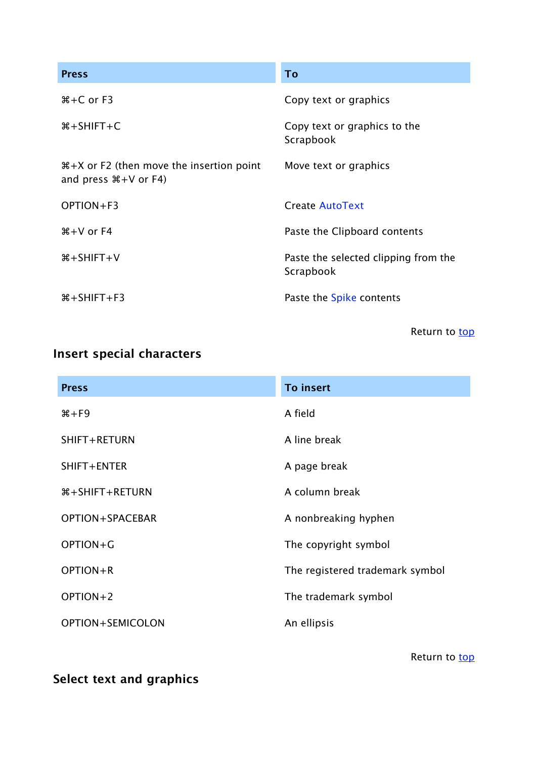| <b>Press</b>                                                                      | To                                                |
|-----------------------------------------------------------------------------------|---------------------------------------------------|
| $# + C$ or $F3$                                                                   | Copy text or graphics                             |
| $\#$ +SHIFT+C                                                                     | Copy text or graphics to the<br>Scrapbook         |
| $\#+X$ or F2 (then move the insertion point<br>and press $\mathcal{H} + V$ or F4) | Move text or graphics                             |
| OPTION+F3                                                                         | Create AutoText                                   |
| $\#$ + V or F4                                                                    | Paste the Clipboard contents                      |
| $\#$ +SHIFT+V                                                                     | Paste the selected clipping from the<br>Scrapbook |
| $\frac{4}{5}$ + SHIFT + F3                                                        | Paste the Spike contents                          |

Return to top

# **Insert special characters**

| <b>Press</b>       | <b>To insert</b>                |
|--------------------|---------------------------------|
| $\frac{4}{5}$ + F9 | A field                         |
| SHIFT+RETURN       | A line break                    |
| SHIFT+ENTER        | A page break                    |
| $\#$ +SHIFT+RETURN | A column break                  |
| OPTION+SPACEBAR    | A nonbreaking hyphen            |
| OPTION+G           | The copyright symbol            |
| OPTION+R           | The registered trademark symbol |
| OPTION+2           | The trademark symbol            |
| OPTION+SEMICOLON   | An ellipsis                     |

Return to top

**Select text and graphics**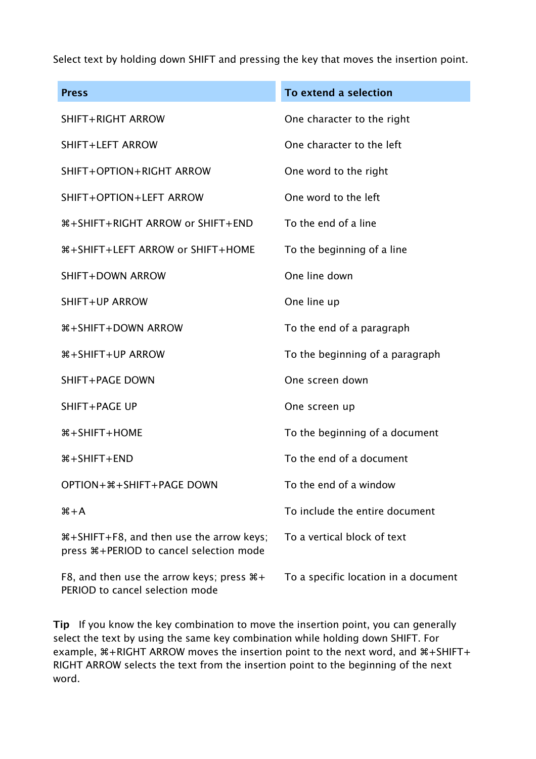Select text by holding down SHIFT and pressing the key that moves the insertion point.

| <b>Press</b>                                                                              | To extend a selection                |
|-------------------------------------------------------------------------------------------|--------------------------------------|
| SHIFT+RIGHT ARROW                                                                         | One character to the right           |
| SHIFT+LEFT ARROW                                                                          | One character to the left            |
| SHIFT+OPTION+RIGHT ARROW                                                                  | One word to the right                |
| SHIFT+OPTION+LEFT ARROW                                                                   | One word to the left                 |
| 第+SHIFT+RIGHT ARROW or SHIFT+END                                                          | To the end of a line                 |
| <b> *+SHIFT+LEFT ARROW or SHIFT+HOME</b>                                                  | To the beginning of a line           |
| SHIFT+DOWN ARROW                                                                          | One line down                        |
| SHIFT+UP ARROW                                                                            | One line up                          |
| <b>\\$+SHIFT+DOWN ARROW</b>                                                               | To the end of a paragraph            |
| <b><i>WASHIFT+UP ARROW</i></b>                                                            | To the beginning of a paragraph      |
| SHIFT+PAGE DOWN                                                                           | One screen down                      |
| SHIFT+PAGE UP                                                                             | One screen up                        |
| $\#$ + SHIFT + HOME                                                                       | To the beginning of a document       |
| $\#$ +SHIFT+END                                                                           | To the end of a document             |
| OPTION+ *+ SHIFT + PAGE DOWN                                                              | To the end of a window               |
| $#+A$                                                                                     | To include the entire document       |
| #+SHIFT+F8, and then use the arrow keys;<br>press $\#$ +PERIOD to cancel selection mode   | To a vertical block of text          |
| F8, and then use the arrow keys; press $\mathcal{H}$ +<br>PERIOD to cancel selection mode | To a specific location in a document |

**Tip** If you know the key combination to move the insertion point, you can generally select the text by using the same key combination while holding down SHIFT. For example,  $\#+RIGHT ARROW$  moves the insertion point to the next word, and  $\#+SHIFT+$ RIGHT ARROW selects the text from the insertion point to the beginning of the next word.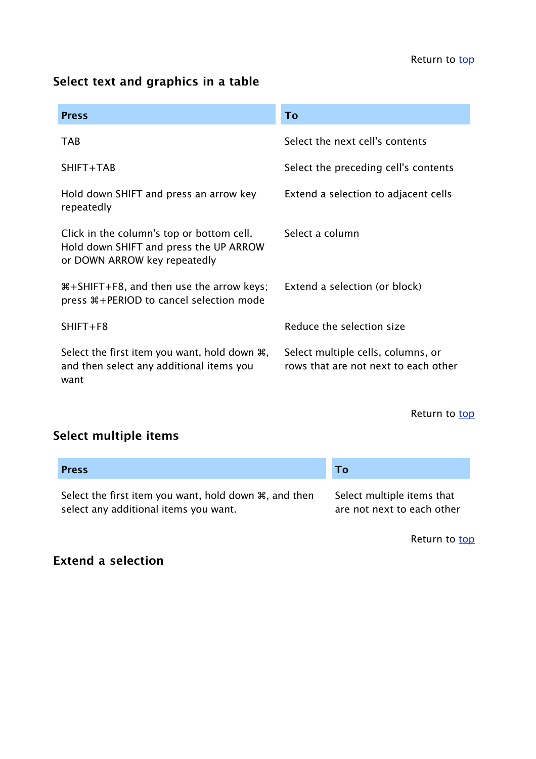## **Select text and graphics in a table**

| <b>Press</b>                                                                                                        | To                                                                         |
|---------------------------------------------------------------------------------------------------------------------|----------------------------------------------------------------------------|
| <b>TAB</b>                                                                                                          | Select the next cell's contents                                            |
| SHIFT+TAB                                                                                                           | Select the preceding cell's contents                                       |
| Hold down SHIFT and press an arrow key<br>repeatedly                                                                | Extend a selection to adjacent cells                                       |
| Click in the column's top or bottom cell.<br>Hold down SHIFT and press the UP ARROW<br>or DOWN ARROW key repeatedly | Select a column                                                            |
| #\the SHIFT+F8, and then use the arrow keys;<br>press $\#$ +PERIOD to cancel selection mode                         | Extend a selection (or block)                                              |
| $SHIFT + F8$                                                                                                        | Reduce the selection size                                                  |
| Select the first item you want, hold down $\mathcal{H}$ ,<br>and then select any additional items you<br>want       | Select multiple cells, columns, or<br>rows that are not next to each other |

Return to top

# **Select multiple items**

| <b>Press</b>                                                       | Τo                         |
|--------------------------------------------------------------------|----------------------------|
| Select the first item you want, hold down $\mathcal{H}$ , and then | Select multiple items that |
| select any additional items you want.                              | are not next to each other |

Return to top

### **Extend a selection**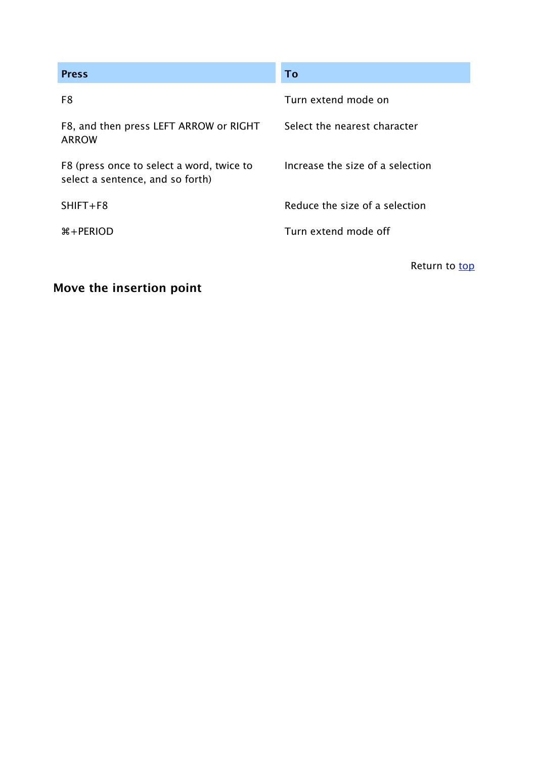| <b>Press</b>                                                                  | <b>To</b>                        |
|-------------------------------------------------------------------------------|----------------------------------|
| F8                                                                            | Turn extend mode on              |
| F8, and then press LEFT ARROW or RIGHT<br><b>ARROW</b>                        | Select the nearest character     |
| F8 (press once to select a word, twice to<br>select a sentence, and so forth) | Increase the size of a selection |
| $SHIFT + F8$                                                                  | Reduce the size of a selection   |
| $\frac{1}{2}$ + PERIOD                                                        | Turn extend mode off             |
|                                                                               | Return to top                    |

## **Move the insertion point**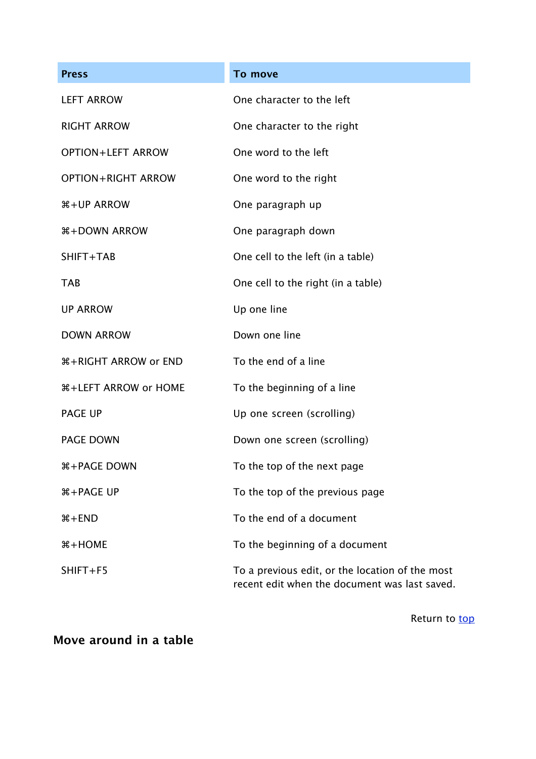| <b>Press</b>                       | To move                                                                                          |
|------------------------------------|--------------------------------------------------------------------------------------------------|
| <b>LEFT ARROW</b>                  | One character to the left                                                                        |
| <b>RIGHT ARROW</b>                 | One character to the right                                                                       |
| <b>OPTION+LEFT ARROW</b>           | One word to the left                                                                             |
| <b>OPTION+RIGHT ARROW</b>          | One word to the right                                                                            |
| <b><i>W</i>+UP ARROW</b>           | One paragraph up                                                                                 |
| <b>#+DOWN ARROW</b>                | One paragraph down                                                                               |
| SHIFT+TAB                          | One cell to the left (in a table)                                                                |
| <b>TAB</b>                         | One cell to the right (in a table)                                                               |
| <b>UP ARROW</b>                    | Up one line                                                                                      |
| <b>DOWN ARROW</b>                  | Down one line                                                                                    |
| <b><i>W</i>+RIGHT ARROW or END</b> | To the end of a line                                                                             |
| <b><i>W</i>+LEFT ARROW or HOME</b> | To the beginning of a line                                                                       |
| <b>PAGE UP</b>                     | Up one screen (scrolling)                                                                        |
| <b>PAGE DOWN</b>                   | Down one screen (scrolling)                                                                      |
| <b><i>W+PAGE DOWN</i></b>          | To the top of the next page                                                                      |
| <b>H+PAGE UP</b>                   | To the top of the previous page                                                                  |
| $#+END$                            | To the end of a document                                                                         |
| $#+HOME$                           | To the beginning of a document                                                                   |
| SHIFT+F5                           | To a previous edit, or the location of the most<br>recent edit when the document was last saved. |

Return to top

**Move around in a table**